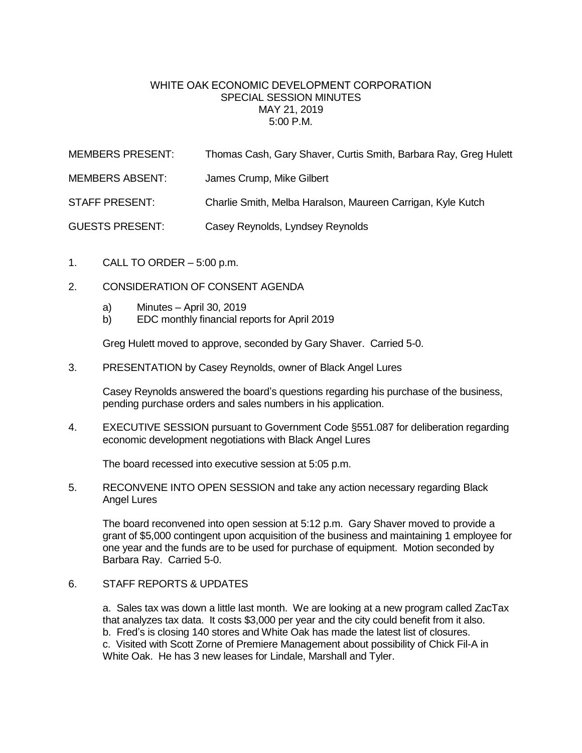## WHITE OAK ECONOMIC DEVELOPMENT CORPORATION SPECIAL SESSION MINUTES MAY 21, 2019 5:00 P.M.

| <b>MEMBERS PRESENT:</b> | Thomas Cash, Gary Shaver, Curtis Smith, Barbara Ray, Greg Hulett |
|-------------------------|------------------------------------------------------------------|
| MEMBERS ABSENT:         | James Crump, Mike Gilbert                                        |
| STAFF PRESENT:          | Charlie Smith, Melba Haralson, Maureen Carrigan, Kyle Kutch      |
| <b>GUESTS PRESENT:</b>  | Casey Reynolds, Lyndsey Reynolds                                 |

- 1. CALL TO ORDER 5:00 p.m.
- 2. CONSIDERATION OF CONSENT AGENDA
	- a) Minutes April 30, 2019
	- b) EDC monthly financial reports for April 2019

Greg Hulett moved to approve, seconded by Gary Shaver. Carried 5-0.

3. PRESENTATION by Casey Reynolds, owner of Black Angel Lures

Casey Reynolds answered the board's questions regarding his purchase of the business, pending purchase orders and sales numbers in his application.

4. EXECUTIVE SESSION pursuant to Government Code §551.087 for deliberation regarding economic development negotiations with Black Angel Lures

The board recessed into executive session at 5:05 p.m.

5. RECONVENE INTO OPEN SESSION and take any action necessary regarding Black Angel Lures

The board reconvened into open session at 5:12 p.m. Gary Shaver moved to provide a grant of \$5,000 contingent upon acquisition of the business and maintaining 1 employee for one year and the funds are to be used for purchase of equipment. Motion seconded by Barbara Ray. Carried 5-0.

## 6. STAFF REPORTS & UPDATES

a. Sales tax was down a little last month. We are looking at a new program called ZacTax that analyzes tax data. It costs \$3,000 per year and the city could benefit from it also. b. Fred's is closing 140 stores and White Oak has made the latest list of closures. c. Visited with Scott Zorne of Premiere Management about possibility of Chick Fil-A in White Oak. He has 3 new leases for Lindale, Marshall and Tyler.